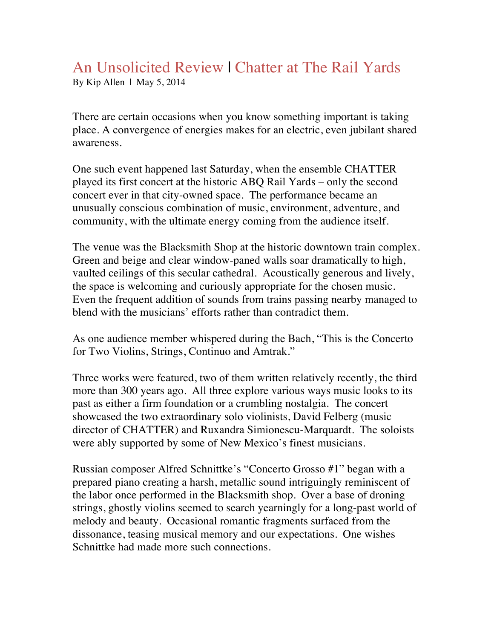## An Unsolicited Review | Chatter at The Rail Yards

By Kip Allen | May 5, 2014

There are certain occasions when you know something important is taking place. A convergence of energies makes for an electric, even jubilant shared awareness.

One such event happened last Saturday, when the ensemble CHATTER played its first concert at the historic ABQ Rail Yards – only the second concert ever in that city-owned space. The performance became an unusually conscious combination of music, environment, adventure, and community, with the ultimate energy coming from the audience itself.

The venue was the Blacksmith Shop at the historic downtown train complex. Green and beige and clear window-paned walls soar dramatically to high, vaulted ceilings of this secular cathedral. Acoustically generous and lively, the space is welcoming and curiously appropriate for the chosen music. Even the frequent addition of sounds from trains passing nearby managed to blend with the musicians' efforts rather than contradict them.

As one audience member whispered during the Bach, "This is the Concerto for Two Violins, Strings, Continuo and Amtrak."

Three works were featured, two of them written relatively recently, the third more than 300 years ago. All three explore various ways music looks to its past as either a firm foundation or a crumbling nostalgia. The concert showcased the two extraordinary solo violinists, David Felberg (music director of CHATTER) and Ruxandra Simionescu-Marquardt. The soloists were ably supported by some of New Mexico's finest musicians.

Russian composer Alfred Schnittke's "Concerto Grosso #1" began with a prepared piano creating a harsh, metallic sound intriguingly reminiscent of the labor once performed in the Blacksmith shop. Over a base of droning strings, ghostly violins seemed to search yearningly for a long-past world of melody and beauty. Occasional romantic fragments surfaced from the dissonance, teasing musical memory and our expectations. One wishes Schnittke had made more such connections.